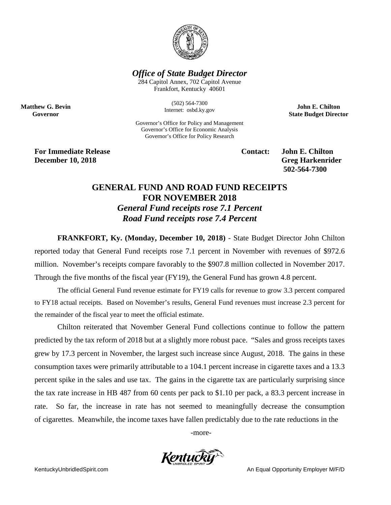

## *Office of State Budget Director*

284 Capitol Annex, 702 Capitol Avenue Frankfort, Kentucky 40601

> (502) 564-7300 Internet: osbd.ky.gov

Governor's Office for Policy and Management Governor's Office for Economic Analysis Governor's Office for Policy Research

**John E. Chilton State Budget Director**

**For Immediate Release Contact: John E. Chilton December 10, 2018** Greg Harkenrider

**Matthew G. Bevin Governor**

**502-564-7300** 

## **GENERAL FUND AND ROAD FUND RECEIPTS FOR NOVEMBER 2018** *General Fund receipts rose 7.1 Percent Road Fund receipts rose 7.4 Percent*

**FRANKFORT, Ky. (Monday, December 10, 2018)** - State Budget Director John Chilton reported today that General Fund receipts rose 7.1 percent in November with revenues of \$972.6 million. November's receipts compare favorably to the \$907.8 million collected in November 2017. Through the five months of the fiscal year (FY19), the General Fund has grown 4.8 percent.

The official General Fund revenue estimate for FY19 calls for revenue to grow 3.3 percent compared to FY18 actual receipts. Based on November's results, General Fund revenues must increase 2.3 percent for the remainder of the fiscal year to meet the official estimate.

Chilton reiterated that November General Fund collections continue to follow the pattern predicted by the tax reform of 2018 but at a slightly more robust pace. "Sales and gross receipts taxes grew by 17.3 percent in November, the largest such increase since August, 2018. The gains in these consumption taxes were primarily attributable to a 104.1 percent increase in cigarette taxes and a 13.3 percent spike in the sales and use tax. The gains in the cigarette tax are particularly surprising since the tax rate increase in HB 487 from 60 cents per pack to \$1.10 per pack, a 83.3 percent increase in rate. So far, the increase in rate has not seemed to meaningfully decrease the consumption of cigarettes. Meanwhile, the income taxes have fallen predictably due to the rate reductions in the

-more-

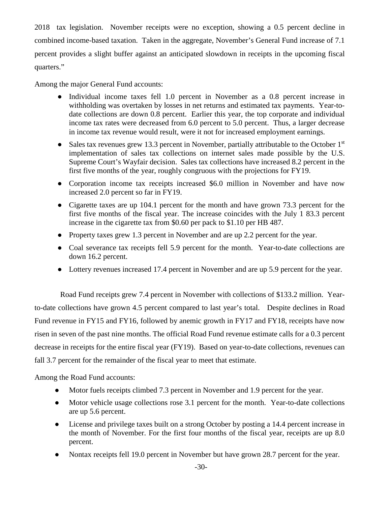2018 tax legislation. November receipts were no exception, showing a 0.5 percent decline in combined income-based taxation. Taken in the aggregate, November's General Fund increase of 7.1 percent provides a slight buffer against an anticipated slowdown in receipts in the upcoming fiscal quarters."

Among the major General Fund accounts:

- Individual income taxes fell 1.0 percent in November as a 0.8 percent increase in withholding was overtaken by losses in net returns and estimated tax payments. Year-todate collections are down 0.8 percent. Earlier this year, the top corporate and individual income tax rates were decreased from 6.0 percent to 5.0 percent. Thus, a larger decrease in income tax revenue would result, were it not for increased employment earnings.
- Sales tax revenues grew 13.3 percent in November, partially attributable to the October  $1<sup>st</sup>$ implementation of sales tax collections on internet sales made possible by the U.S. Supreme Court's Wayfair decision. Sales tax collections have increased 8.2 percent in the first five months of the year, roughly congruous with the projections for FY19.
- Corporation income tax receipts increased \$6.0 million in November and have now increased 2.0 percent so far in FY19.
- Cigarette taxes are up 104.1 percent for the month and have grown 73.3 percent for the first five months of the fiscal year. The increase coincides with the July 1 83.3 percent increase in the cigarette tax from \$0.60 per pack to \$1.10 per HB 487.
- Property taxes grew 1.3 percent in November and are up 2.2 percent for the year.
- Coal severance tax receipts fell 5.9 percent for the month. Year-to-date collections are down 16.2 percent.
- Lottery revenues increased 17.4 percent in November and are up 5.9 percent for the year.

Road Fund receipts grew 7.4 percent in November with collections of \$133.2 million. Yearto-date collections have grown 4.5 percent compared to last year's total. Despite declines in Road Fund revenue in FY15 and FY16, followed by anemic growth in FY17 and FY18, receipts have now risen in seven of the past nine months. The official Road Fund revenue estimate calls for a 0.3 percent decrease in receipts for the entire fiscal year (FY19). Based on year-to-date collections, revenues can fall 3.7 percent for the remainder of the fiscal year to meet that estimate.

Among the Road Fund accounts:

- Motor fuels receipts climbed 7.3 percent in November and 1.9 percent for the year.
- Motor vehicle usage collections rose 3.1 percent for the month. Year-to-date collections are up 5.6 percent.
- License and privilege taxes built on a strong October by posting a 14.4 percent increase in the month of November. For the first four months of the fiscal year, receipts are up 8.0 percent.
- Nontax receipts fell 19.0 percent in November but have grown 28.7 percent for the year.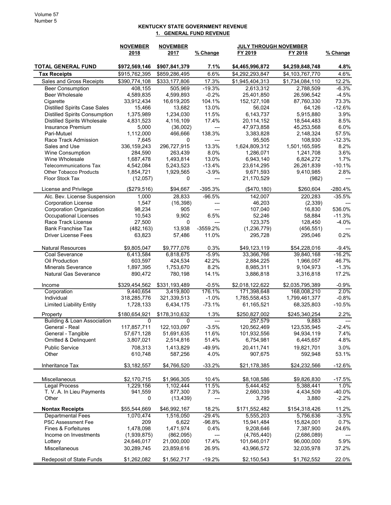## KENTUCKY STATE GOVERNMENT REVENUE 1. GENERAL FUND REVENUE

|                                                  | <b>NOVEMBER</b><br>2018 | <b>NOVEMBER</b><br>2017 | % Change       | <b>JULY THROUGH NOVEMBER</b><br>FY 2019<br>FY 2018 |                 | % Change       |
|--------------------------------------------------|-------------------------|-------------------------|----------------|----------------------------------------------------|-----------------|----------------|
|                                                  |                         |                         |                |                                                    |                 |                |
| <b>TOTAL GENERAL FUND</b>                        | \$972,569,146           | \$907,841,379           | 7.1%           | \$4,465,996,872                                    | \$4,259,848,748 | 4.8%           |
| <b>Tax Receipts</b>                              | \$915,762,395           | \$859,286,495           | 6.6%           | \$4,292,293,847                                    | \$4,103,767,770 | 4.6%           |
| Sales and Gross Receipts                         | \$390,774,108           | \$333,177,806           | 17.3%          | \$1,945,404,313                                    | \$1,734,084,110 | 12.2%          |
| <b>Beer Consumption</b>                          | 408.155                 | 505,969                 | $-19.3%$       | 2,613,312                                          | 2,788,509       | $-6.3%$        |
| <b>Beer Wholesale</b>                            | 4,589,835               | 4,599,893               | $-0.2%$        | 25,401,850                                         | 26,596,542      | $-4.5%$        |
| Cigarette                                        | 33,912,434              | 16,619,205              | 104.1%         | 152,127,108                                        | 87,760,330      | 73.3%          |
| <b>Distilled Spirits Case Sales</b>              | 15,466                  | 13,682                  | 13.0%          | 56,024                                             | 64,126          | $-12.6%$       |
| <b>Distilled Spirits Consumption</b>             | 1,375,989               | 1,234,030               | 11.5%          | 6,143,737                                          | 5,915,880       | 3.9%           |
| <b>Distilled Spirits Wholesale</b>               | 4,831,523               | 4,116,109               | 17.4%          | 20,114,152                                         | 18,544,483      | 8.5%           |
| <b>Insurance Premium</b>                         | 5,000                   | (36,002)                | ---            | 47,973,858                                         | 45,253,568      | 6.0%           |
| Pari-Mutuel                                      | 1,112,000               | 466,666                 | 138.3%         | 3,383,828                                          | 2,148,324       | 57.5%          |
| Race Track Admission                             | 7,645                   | 0                       | ---            | 95,505                                             | 108,930         | $-12.3%$       |
| Sales and Use                                    | 336,159,243             | 296,727,915             | 13.3%          | 1,624,809,312                                      | 1,501,165,595   | 8.2%           |
| Wine Consumption                                 | 284,590                 | 263,439                 | 8.0%           | 1,286,071                                          | 1,241,708       | 3.6%           |
| Wine Wholesale                                   | 1,687,478               | 1,493,814               | 13.0%          | 6,943,140                                          | 6,824,272       | 1.7%           |
| <b>Telecommunications Tax</b>                    | 4,542,084               | 5,243,523               | $-13.4%$       | 23,614,295                                         | 26,261,839      | $-10.1%$       |
| <b>Other Tobacco Products</b><br>Floor Stock Tax | 1,854,721               | 1,929,565               | $-3.9%$        | 9,671,593                                          | 9,410,985       | 2.8%           |
|                                                  | (12,057)                | 0                       | ---            | 21,170,529                                         | (982)           | ---            |
| License and Privilege                            | (\$279,516)             | \$94,667                | $-395.3%$      | (\$470, 180)                                       | \$260,604       | $-280.4%$      |
| Alc. Bev. License Suspension                     | 1,000                   | 28,833                  | $-96.5%$       | 142,007                                            | 220,283         | $-35.5%$       |
| <b>Corporation License</b>                       | 1,547                   | (16, 398)               | ---            | 46,203                                             | (2,339)         |                |
| <b>Corporation Organization</b>                  | 98,234                  | 905                     | ---            | 107,040                                            | 16,830          | 536.0%         |
| <b>Occupational Licenses</b>                     | 10,543                  | 9,902                   | 6.5%           | 52,246                                             | 58,884          | $-11.3%$       |
| Race Track License                               | 27,500                  | 0                       | ---            | 123,375                                            | 128,450         | $-4.0%$        |
| <b>Bank Franchise Tax</b>                        | (482, 163)              | 13,938                  | -3559.2%       | (1,236,779)                                        | (456, 551)      |                |
| <b>Driver License Fees</b>                       | 63,823                  | 57,486                  | 11.0%          | 295,728                                            | 295,046         | 0.2%           |
| <b>Natural Resources</b>                         | \$9,805,047             | \$9,777,076             | 0.3%           | \$49,123,119                                       | \$54,228,016    | $-9.4%$        |
| Coal Severance                                   | 6,413,584               | 6,818,675               | $-5.9%$        | 33,366,766                                         | 39,840,168      | $-16.2%$       |
| Oil Production                                   | 603,597                 | 424,534                 | 42.2%          | 2,884,225                                          | 1,966,057       | 46.7%          |
| <b>Minerals Severance</b>                        | 1,897,395               | 1,753,670               | 8.2%           | 8,985,311                                          | 9,104,973       | $-1.3%$        |
| <b>Natural Gas Severance</b>                     | 890,472                 | 780,198                 | 14.1%          | 3,886,818                                          | 3,316,818       | 17.2%          |
| Income                                           | \$329,454,562           | \$331,193,489           | $-0.5%$        | \$2,018,122,622                                    | \$2,035,795,389 | $-0.9%$        |
| Corporation                                      | 9,440,654               | 3,419,800               | 176.1%         | 171,398,648                                        | 168,008,210     | 2.0%           |
| Individual                                       | 318,285,776             | 321,339,513             | $-1.0%$        | 1,785,558,453                                      | 1,799,461,377   | $-0.8%$        |
| <b>Limited Liability Entity</b>                  | 1,728,133               | 6,434,175               | $-73.1%$       | 61,165,521                                         | 68,325,803      | $-10.5%$       |
| Property                                         | \$180,654,921           | \$178,310,632           | 1.3%           | \$250,827,002                                      | \$245,340,254   | 2.2%           |
| <b>Building &amp; Loan Association</b>           | 0                       | 0                       | $\overline{a}$ | 257,579                                            | 9.883           | $\overline{a}$ |
| General - Real                                   | 117,857,711             | 122,103,097             | $-3.5%$        | 120,562,469                                        | 123,535,945     | $-2.4%$        |
| General - Tangible                               | 57,671,128              | 51,691,635              | 11.6%          | 101,932,556                                        | 94,934,119      | 7.4%           |
| Omitted & Delinquent                             | 3,807,021               | 2,514,816               | 51.4%          | 6,754,981                                          | 6,445,657       | 4.8%           |
| <b>Public Service</b>                            | 708,313                 | 1,413,829               | -49.9%         | 20,411,741                                         | 19,821,701      | 3.0%           |
| Other                                            | 610,748                 | 587,256                 | 4.0%           | 907,675                                            | 592,948         | 53.1%          |
| Inheritance Tax                                  | \$3,182,557             | \$4,766,520             | $-33.2%$       | \$21,178,385                                       | \$24,232,566    | $-12.6%$       |
| Miscellaneous                                    | \$2,170,715             | \$1,966,305             | 10.4%          | \$8,108,586                                        | \$9,826,830     | $-17.5%$       |
| Legal Process                                    | 1,229,156               | 1,102,444               | 11.5%          | 5,444,452                                          | 5,388,441       | 1.0%           |
| T. V. A. In Lieu Payments                        | 941,559                 | 877,300                 | 7.3%           | 2,660,339                                          | 4,434,509       | $-40.0\%$      |
| Other                                            | 0                       | (13, 439)               | ---            | 3,795                                              | 3,880           | $-2.2%$        |
| <b>Nontax Receipts</b>                           | \$55,544,669            | \$46,992,167            | 18.2%          | \$171,552,482                                      | \$154,318,426   | 11.2%          |
| <b>Departmental Fees</b>                         | 1,070,474               | 1,516,050               | $-29.4%$       | 5,555,203                                          | 5,756,636       | $-3.5%$        |
| <b>PSC Assessment Fee</b>                        | 209                     | 6,622                   | $-96.8%$       | 15,941,484                                         | 15,824,001      | 0.7%           |
| Fines & Forfeitures                              | 1,478,098               | 1,471,974               | 0.4%           | 9,208,646                                          | 7,387,900       | 24.6%          |
| Income on Investments                            | (1,939,875)             | (862,095)               | ---            | (4,765,440)                                        | (2,686,089)     |                |
| Lottery                                          | 24,646,017              | 21,000,000              | 17.4%          | 101,646,017                                        | 96,000,000      | 5.9%           |
| Miscellaneous                                    | 30,289,745              | 23,859,616              | 26.9%          | 43,966,572                                         | 32,035,978      | 37.2%          |
| <b>Redeposit of State Funds</b>                  | \$1,262,082             | \$1,562,717             | $-19.2%$       | \$2,150,543                                        | \$1,762,552     | 22.0%          |